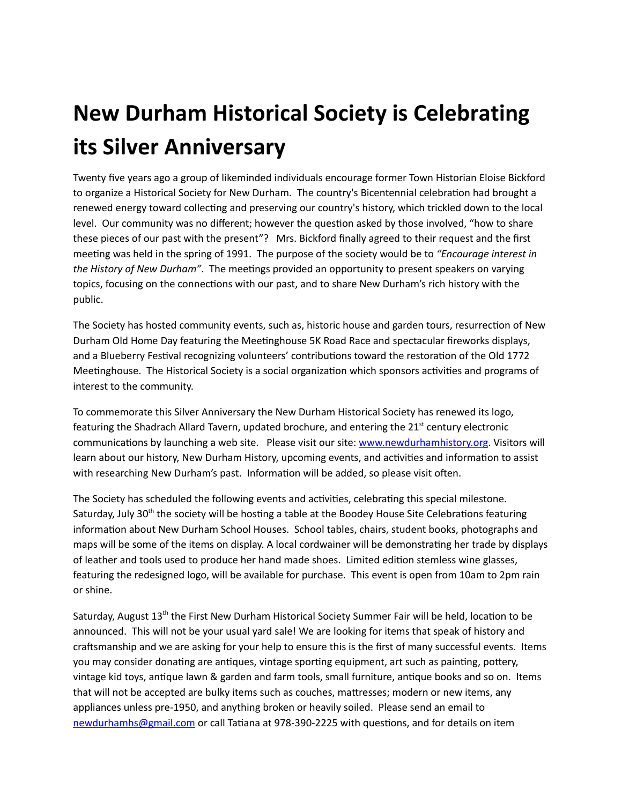## New Durham Historical Society is Celebrating its Silver Anniversary

Twenty five years ago a group of likeminded individuals encourage former Town Historian Eloise Bickford to organize a Historical Society for New Durham. The country's Bicentennial celebration had brought a renewed energy toward collecting and preserving our country's history, which trickled down to the local level. Our community was no different; however the question asked by those involved, "how to share these pieces of our past with the present"? Mrs. Bickford finally agreed to their request and the first meeting was held in the spring of 1991. The purpose of the society would be to "Encourage interest in *the History of New Durham*". The meetings provided an opportunity to present speakers on varying topics, focusing on the connections with our past, and to share New Durham's rich history with the public.

The Society has hosted community events, such as, historic house and garden tours, resurrection of New Durham Old Home Day featuring the Meetinghouse 5K Road Race and spectacular fireworks displays, and a Blueberry Festival recognizing volunteers' contributions toward the restoration of the Old 1772 Meetinghouse. The Historical Society is a social organization which sponsors activities and programs of interest to the community.

To commemorate this Silver Anniversary the New Durham Historical Society has renewed its logo, featuring the Shadrach Allard Tavern, updated brochure, and entering the 21<sup>st</sup> century electronic communications by launching a web site. Please visit our site: [www.newdurhamhistory.org.](http://www.newdurhamhistory.org/) Visitors will learn about our history, New Durham History, upcoming events, and activities and information to assist with researching New Durham's past. Information will be added, so please visit often.

The Society has scheduled the following events and activities, celebrating this special milestone. Saturday, July 30<sup>th</sup> the society will be hosting a table at the Boodey House Site Celebrations featuring information about New Durham School Houses. School tables, chairs, student books, photographs and maps will be some of the items on display. A local cordwainer will be demonstrating her trade by displays of leather and tools used to produce her hand made shoes. Limited edition stemless wine glasses, featuring the redesigned logo, will be available for purchase. This event is open from 10am to 2pm rain or shine.

Saturday, August 13<sup>th</sup> the First New Durham Historical Society Summer Fair will be held, location to be announced. This will not be your usual yard sale! We are looking for items that speak of history and craftsmanship and we are asking for your help to ensure this is the first of many successful events. Items you may consider donating are antiques, vintage sporting equipment, art such as painting, pottery, vintage kid toys, antique lawn & garden and farm tools, small furniture, antique books and so on. Items that will not be accepted are bulky items such as couches, mattresses; modern or new items, any appliances unless pre‐1950, and anything broken or heavily soiled. Please send an email to [newdurhamhs@gmail.com](mailto:newdurhamhs@gmail.com) or call Tatiana at 978-390-2225 with questions, and for details on item